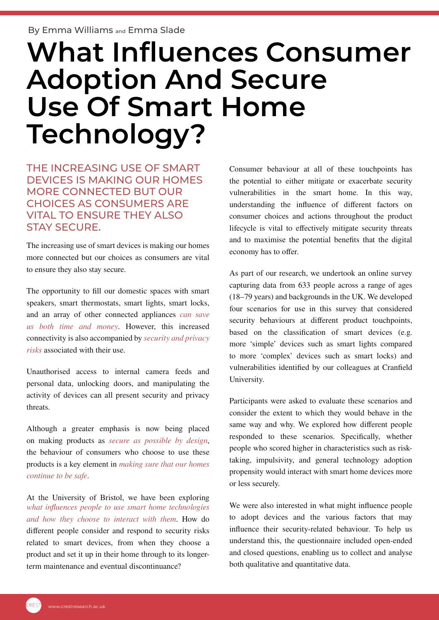## **What Influences Consumer Adoption And Secure Use Of Smart Home Technology?**

THE INCREASING USE OF SMART DEVICES IS MAKING OUR HOMES MORE CONNECTED BUT OUR CHOICES AS CONSUMERS ARE VITAL TO ENSURE THEY ALSO STAY SECURE.

The increasing use of smart devices is making our homes more connected but our choices as consumers are vital to ensure they also stay secure.

The opportunity to fill our domestic spaces with smart speakers, smart thermostats, smart lights, smart locks, and an array of other connected appliances *[can save](https://www.sciencedirect.com/science/article/pii/S030142151630711X) [us both time and money](https://www.sciencedirect.com/science/article/pii/S030142151630711X)*. However, this increased connectivity is also accompanied by *[security and privacy](https://www.sciencedirect.com/science/article/pii/S0167404818304875) [risks](https://www.sciencedirect.com/science/article/pii/S0167404818304875)* associated with their use.

Unauthorised access to internal camera feeds and personal data, unlocking doors, and manipulating the activity of devices can all present security and privacy threats.

Although a greater emphasis is now being placed on making products as *[secure as possible by design](https://www.gov.uk/government/collections/secure-by-design)*, the behaviour of consumers who choose to use these products is a key element in *[making sure that our homes](https://www.gov.uk/government/publications/smart-devices-using-them-safely-in-your-home) [continue to be safe](https://www.gov.uk/government/publications/smart-devices-using-them-safely-in-your-home)*.

At the University of Bristol, we have been exploring *[what influences people to use smart home technologies](https://management.blogs.bristol.ac.uk/2020/05/21/how-smart-a-user-are-you-of-smart-devices/) [and how they choose to interact with them](https://management.blogs.bristol.ac.uk/2020/05/21/how-smart-a-user-are-you-of-smart-devices/)*. How do different people consider and respond to security risks related to smart devices, from when they choose a product and set it up in their home through to its longerterm maintenance and eventual discontinuance?

Consumer behaviour at all of these touchpoints has the potential to either mitigate or exacerbate security vulnerabilities in the smart home. In this way, understanding the influence of different factors on consumer choices and actions throughout the product lifecycle is vital to effectively mitigate security threats and to maximise the potential benefits that the digital economy has to offer.

As part of our research, we undertook an online survey capturing data from 633 people across a range of ages (18–79 years) and backgrounds in the UK. We developed four scenarios for use in this survey that considered security behaviours at different product touchpoints, based on the classification of smart devices (e.g. more 'simple' devices such as smart lights compared to more 'complex' devices such as smart locks) and vulnerabilities identified by our colleagues at Cranfield University.

Participants were asked to evaluate these scenarios and consider the extent to which they would behave in the same way and why. We explored how different people responded to these scenarios. Specifically, whether people who scored higher in characteristics such as risktaking, impulsivity, and general technology adoption propensity would interact with smart home devices more or less securely.

We were also interested in what might influence people to adopt devices and the various factors that may influence their security-related behaviour. To help us understand this, the questionnaire included open-ended and closed questions, enabling us to collect and analyse both qualitative and quantitative data.